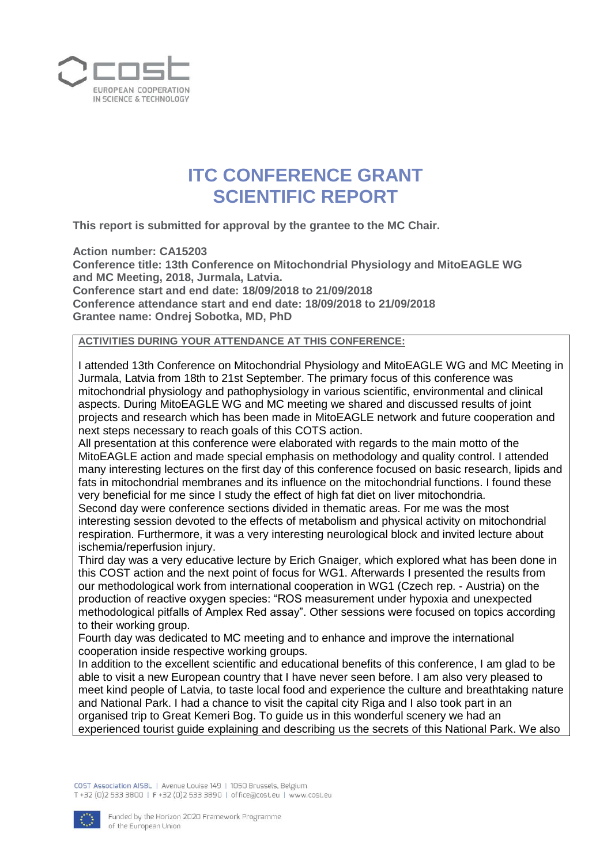

## **ITC CONFERENCE GRANT SCIENTIFIC REPORT**

**This report is submitted for approval by the grantee to the MC Chair.**

**Action number: CA15203**

**Conference title: 13th Conference on Mitochondrial Physiology and MitoEAGLE WG and MC Meeting, 2018, Jurmala, Latvia. Conference start and end date: 18/09/2018 to 21/09/2018 Conference attendance start and end date: 18/09/2018 to 21/09/2018 Grantee name: Ondrej Sobotka, MD, PhD**

## **ACTIVITIES DURING YOUR ATTENDANCE AT THIS CONFERENCE:**

I attended 13th Conference on Mitochondrial Physiology and MitoEAGLE WG and MC Meeting in Jurmala, Latvia from 18th to 21st September. The primary focus of this conference was mitochondrial physiology and pathophysiology in various scientific, environmental and clinical aspects. During MitoEAGLE WG and MC meeting we shared and discussed results of joint projects and research which has been made in MitoEAGLE network and future cooperation and next steps necessary to reach goals of this COTS action.

All presentation at this conference were elaborated with regards to the main motto of the MitoEAGLE action and made special emphasis on methodology and quality control. I attended many interesting lectures on the first day of this conference focused on basic research, lipids and fats in mitochondrial membranes and its influence on the mitochondrial functions. I found these very beneficial for me since I study the effect of high fat diet on liver mitochondria.

Second day were conference sections divided in thematic areas. For me was the most interesting session devoted to the effects of metabolism and physical activity on mitochondrial respiration. Furthermore, it was a very interesting neurological block and invited lecture about ischemia/reperfusion injury.

Third day was a very educative lecture by Erich Gnaiger, which explored what has been done in this COST action and the next point of focus for WG1. Afterwards I presented the results from our methodological work from international cooperation in WG1 (Czech rep. - Austria) on the production of reactive oxygen species: "ROS measurement under hypoxia and unexpected methodological pitfalls of Amplex Red assay". Other sessions were focused on topics according to their working group.

Fourth day was dedicated to MC meeting and to enhance and improve the international cooperation inside respective working groups.

In addition to the excellent scientific and educational benefits of this conference, I am glad to be able to visit a new European country that I have never seen before. I am also very pleased to meet kind people of Latvia, to taste local food and experience the culture and breathtaking nature and National Park. I had a chance to visit the capital city Riga and I also took part in an organised trip to Great Kemeri Bog. To guide us in this wonderful scenery we had an experienced tourist guide explaining and describing us the secrets of this National Park. We also

COST Association AISBL | Avenue Louise 149 | 1050 Brussels, Belgium T+32 (0)2 533 3800 | F+32 (0)2 533 3890 | office@cost.eu | www.cost.eu